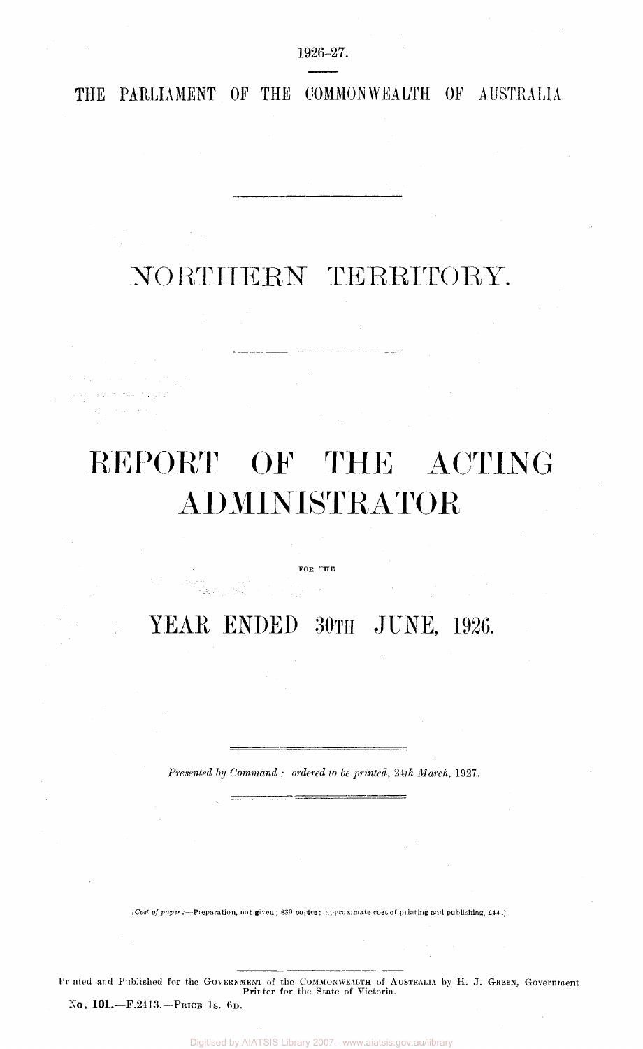1926-27.

**THE PARLIAMENT Of THE COMMONWEALTH OF AUSTRALIA** 

## NO RTHERN TERRITORY.

# REPORT OF THE ACTING ADMINISTRATOR

FOR THE

YEAR ENDED 30TH JUNE, 1926.

*Presented by Command ; ordered to be printed, 2ith March,* 1927.

*[Cost of paper:*—Preparation, not given ; 830 copies; approximate cost of printing and publishing, £44 .]

PRINTED and Published for the GOVERNMENT of the COMMONWEALTH of AUSTRALIA by H. J. GREEN, Government Printer for the State of Victoria. No. 101.— F.2413— PRICE 1S. 6D.

Digitised by AIATSIS Library 2007 - www.aiatsis.gov.au/library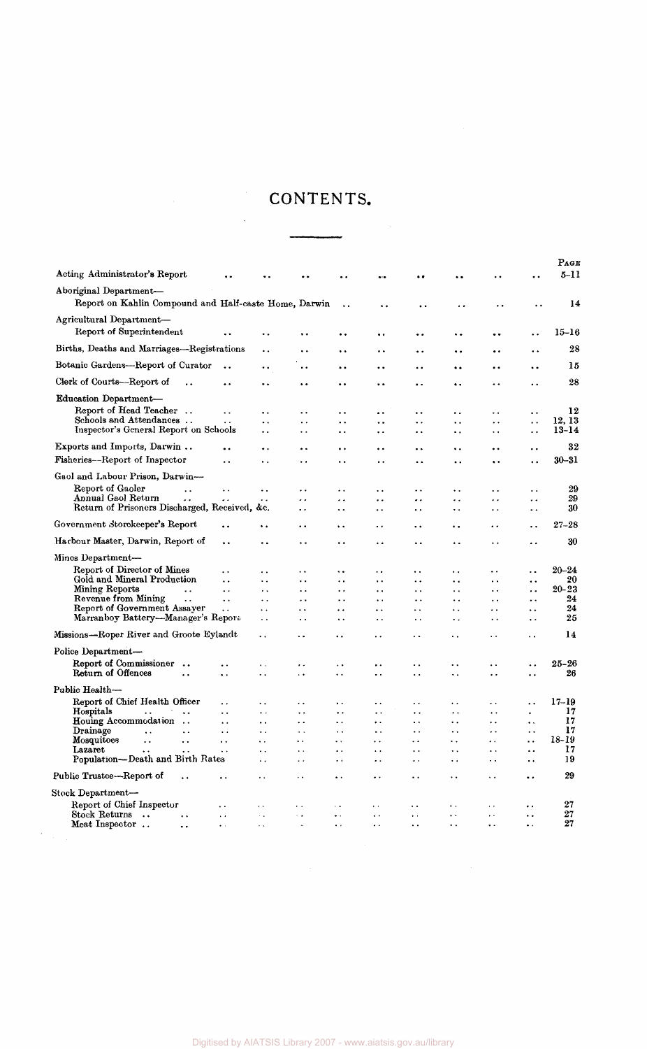### CONTENTS.

 $\bar{\beta}$ 

|                                            |                                                                                                                                                                                           |                                                                                                                                                                                     |                                                                                                 | $\ddotsc$                                                                                                                                                                                                          | $\ddot{\phantom{0}}$                                                                                                                                             | $\ddot{\phantom{0}}$                                                                      | $\ddot{\phantom{0}}$                                                                                                                | . .                                                                             | $5 - 11$                                                                                                                                                              |
|--------------------------------------------|-------------------------------------------------------------------------------------------------------------------------------------------------------------------------------------------|-------------------------------------------------------------------------------------------------------------------------------------------------------------------------------------|-------------------------------------------------------------------------------------------------|--------------------------------------------------------------------------------------------------------------------------------------------------------------------------------------------------------------------|------------------------------------------------------------------------------------------------------------------------------------------------------------------|-------------------------------------------------------------------------------------------|-------------------------------------------------------------------------------------------------------------------------------------|---------------------------------------------------------------------------------|-----------------------------------------------------------------------------------------------------------------------------------------------------------------------|
|                                            |                                                                                                                                                                                           |                                                                                                                                                                                     |                                                                                                 |                                                                                                                                                                                                                    |                                                                                                                                                                  |                                                                                           |                                                                                                                                     |                                                                                 |                                                                                                                                                                       |
|                                            |                                                                                                                                                                                           | Report on Kahlin Compound and Half-caste Home, Darwin                                                                                                                               | $\ddot{\phantom{a}}$                                                                            | ٠.                                                                                                                                                                                                                 | $\ddot{\phantom{0}}$                                                                                                                                             | . .                                                                                       | . .                                                                                                                                 |                                                                                 | 14                                                                                                                                                                    |
|                                            |                                                                                                                                                                                           |                                                                                                                                                                                     |                                                                                                 |                                                                                                                                                                                                                    |                                                                                                                                                                  |                                                                                           |                                                                                                                                     |                                                                                 | $15 - 16$                                                                                                                                                             |
|                                            | ٠.                                                                                                                                                                                        |                                                                                                                                                                                     |                                                                                                 | $\ddot{\phantom{0}}$                                                                                                                                                                                               | . .                                                                                                                                                              | ٠.                                                                                        | $\ddot{\phantom{0}}$                                                                                                                | . .                                                                             |                                                                                                                                                                       |
| Births, Deaths and Marriages—Registrations | ٠.                                                                                                                                                                                        | . .                                                                                                                                                                                 | . .                                                                                             | . .                                                                                                                                                                                                                | . .                                                                                                                                                              | . .                                                                                       | $\bullet$                                                                                                                           | . .                                                                             | 28                                                                                                                                                                    |
| Botanic Gardens-Report of Curator<br>. .   | ٠.                                                                                                                                                                                        | . .                                                                                                                                                                                 |                                                                                                 |                                                                                                                                                                                                                    | . .                                                                                                                                                              |                                                                                           | . .                                                                                                                                 | $\ddot{\phantom{0}}$                                                            | 15                                                                                                                                                                    |
| . .                                        |                                                                                                                                                                                           | $\ddot{\phantom{0}}$                                                                                                                                                                | $\bullet$                                                                                       | $\ddot{\phantom{0}}$                                                                                                                                                                                               | $\ddot{\phantom{0}}$                                                                                                                                             | $\ddot{\phantom{a}}$                                                                      | . .                                                                                                                                 | . .                                                                             | 28                                                                                                                                                                    |
|                                            |                                                                                                                                                                                           |                                                                                                                                                                                     |                                                                                                 |                                                                                                                                                                                                                    |                                                                                                                                                                  |                                                                                           |                                                                                                                                     |                                                                                 |                                                                                                                                                                       |
| $\ddot{\phantom{a}}$                       |                                                                                                                                                                                           |                                                                                                                                                                                     |                                                                                                 |                                                                                                                                                                                                                    |                                                                                                                                                                  |                                                                                           |                                                                                                                                     |                                                                                 | 12                                                                                                                                                                    |
| $\ddot{\phantom{0}}$                       | $\ddot{\phantom{0}}$                                                                                                                                                                      | . .                                                                                                                                                                                 | $\ddot{\phantom{a}}$                                                                            |                                                                                                                                                                                                                    | $\ddot{\phantom{0}}$                                                                                                                                             |                                                                                           | . .                                                                                                                                 |                                                                                 | 12.13                                                                                                                                                                 |
| Inspector's General Report on Schools      | . .                                                                                                                                                                                       | $\ddot{\phantom{0}}$                                                                                                                                                                | $\ddot{\phantom{a}}$                                                                            | $\ddot{\phantom{1}}$                                                                                                                                                                                               | $\ddot{\phantom{0}}$                                                                                                                                             | ٠.                                                                                        | $\ddot{\phantom{0}}$                                                                                                                | . .                                                                             | $13 - 14$                                                                                                                                                             |
| $\ddot{\phantom{a}}$                       | ٠.                                                                                                                                                                                        | $\ddot{\phantom{a}}$                                                                                                                                                                | $\ddot{\bullet}$                                                                                | . .                                                                                                                                                                                                                | $\ddot{\phantom{0}}$                                                                                                                                             | $\ddot{\phantom{a}}$                                                                      | $\ddot{\phantom{0}}$                                                                                                                | . .                                                                             | 32                                                                                                                                                                    |
| $\ddot{\phantom{0}}$                       | . .                                                                                                                                                                                       | $\ddot{\phantom{0}}$                                                                                                                                                                | $\ddot{\phantom{a}}$                                                                            | $\ddot{\phantom{0}}$                                                                                                                                                                                               | $\ddot{\phantom{a}}$                                                                                                                                             | ٠.                                                                                        | $\ddot{\phantom{a}}$                                                                                                                |                                                                                 | 30–31                                                                                                                                                                 |
|                                            |                                                                                                                                                                                           |                                                                                                                                                                                     |                                                                                                 |                                                                                                                                                                                                                    |                                                                                                                                                                  |                                                                                           |                                                                                                                                     |                                                                                 |                                                                                                                                                                       |
|                                            |                                                                                                                                                                                           |                                                                                                                                                                                     |                                                                                                 |                                                                                                                                                                                                                    |                                                                                                                                                                  |                                                                                           |                                                                                                                                     |                                                                                 | 29                                                                                                                                                                    |
| $\ddot{\phantom{a}}$                       |                                                                                                                                                                                           |                                                                                                                                                                                     |                                                                                                 |                                                                                                                                                                                                                    |                                                                                                                                                                  | . .                                                                                       |                                                                                                                                     |                                                                                 | 29                                                                                                                                                                    |
|                                            |                                                                                                                                                                                           | $\ddot{\phantom{a}}$                                                                                                                                                                | $\ddotsc$                                                                                       | $\ddot{\phantom{1}}$                                                                                                                                                                                               | . .                                                                                                                                                              | . .                                                                                       | $\ddotsc$                                                                                                                           | $\ddot{\phantom{0}}$                                                            | 30                                                                                                                                                                    |
| ٠.                                         | $\ddot{\phantom{0}}$                                                                                                                                                                      | $\ddot{\phantom{a}}$                                                                                                                                                                | $\ddot{\phantom{a}}$                                                                            | . .                                                                                                                                                                                                                | $\ddot{\phantom{a}}$                                                                                                                                             | $\ddot{\phantom{a}}$                                                                      | . .                                                                                                                                 | $\ddot{\phantom{a}}$                                                            | $27 - 28$                                                                                                                                                             |
| . .                                        |                                                                                                                                                                                           | . .                                                                                                                                                                                 |                                                                                                 |                                                                                                                                                                                                                    | . .                                                                                                                                                              |                                                                                           |                                                                                                                                     | ٠.                                                                              | 30                                                                                                                                                                    |
|                                            |                                                                                                                                                                                           |                                                                                                                                                                                     |                                                                                                 |                                                                                                                                                                                                                    |                                                                                                                                                                  |                                                                                           |                                                                                                                                     |                                                                                 |                                                                                                                                                                       |
|                                            |                                                                                                                                                                                           |                                                                                                                                                                                     |                                                                                                 |                                                                                                                                                                                                                    |                                                                                                                                                                  |                                                                                           |                                                                                                                                     |                                                                                 | $20 - 24$                                                                                                                                                             |
| $\ddot{\phantom{a}}$                       | $\ddot{\phantom{a}}$                                                                                                                                                                      | $\ddot{\phantom{0}}$                                                                                                                                                                |                                                                                                 | $\ddot{\phantom{0}}$                                                                                                                                                                                               | . .                                                                                                                                                              | . .                                                                                       | $\cdot$ .                                                                                                                           | $\ddot{\phantom{0}}$                                                            | 20                                                                                                                                                                    |
| $\ddotsc$                                  | . .                                                                                                                                                                                       | . .                                                                                                                                                                                 | $\ddot{\phantom{a}}$                                                                            | $\ddotsc$                                                                                                                                                                                                          | . .                                                                                                                                                              | . .                                                                                       | $\ddot{\phantom{0}}$                                                                                                                | $\ddot{\phantom{0}}$                                                            | $20 - 23$                                                                                                                                                             |
| $\ddotsc$                                  | $\ddotsc$                                                                                                                                                                                 | . .                                                                                                                                                                                 | $\ddot{\phantom{0}}$                                                                            | $\ddot{\phantom{0}}$                                                                                                                                                                                               | . .                                                                                                                                                              | . .                                                                                       | $\ddot{\phantom{0}}$                                                                                                                | $\ddot{\phantom{0}}$                                                            | 24                                                                                                                                                                    |
| $\ddot{\phantom{0}}$                       | $\ddot{\phantom{0}}$                                                                                                                                                                      | . .                                                                                                                                                                                 | $\ddot{\phantom{a}}$                                                                            | $\ddot{\phantom{a}}$                                                                                                                                                                                               | $\ddot{\phantom{0}}$                                                                                                                                             | $\ddot{\phantom{a}}$                                                                      | . .                                                                                                                                 | $\ddot{\phantom{a}}$                                                            | 24                                                                                                                                                                    |
|                                            | $\ddot{\phantom{0}}$                                                                                                                                                                      | . .                                                                                                                                                                                 | $\ddot{\bullet}$                                                                                | $\ddot{\phantom{a}}$                                                                                                                                                                                               | $\ddot{\phantom{0}}$                                                                                                                                             | $\ddot{\phantom{0}}$                                                                      | $\ddot{\phantom{0}}$                                                                                                                | $\ddot{\phantom{a}}$                                                            | 25                                                                                                                                                                    |
| Missions—Roper River and Groote Eylandt    |                                                                                                                                                                                           |                                                                                                                                                                                     |                                                                                                 |                                                                                                                                                                                                                    |                                                                                                                                                                  | . .                                                                                       |                                                                                                                                     | . .                                                                             | 14                                                                                                                                                                    |
|                                            |                                                                                                                                                                                           |                                                                                                                                                                                     |                                                                                                 |                                                                                                                                                                                                                    |                                                                                                                                                                  |                                                                                           |                                                                                                                                     |                                                                                 |                                                                                                                                                                       |
| . .                                        | Ϋ.                                                                                                                                                                                        | . .                                                                                                                                                                                 | $\ddot{\phantom{0}}$                                                                            | . .                                                                                                                                                                                                                | ٠.                                                                                                                                                               | . .                                                                                       |                                                                                                                                     | . .                                                                             | $25 - 26$                                                                                                                                                             |
| . .                                        | . .                                                                                                                                                                                       | $\ddot{\phantom{0}}$                                                                                                                                                                | $\ddot{\phantom{1}}$                                                                            | $\ddot{\phantom{1}}$                                                                                                                                                                                               | . .                                                                                                                                                              | . .                                                                                       |                                                                                                                                     | . .                                                                             | 26                                                                                                                                                                    |
|                                            |                                                                                                                                                                                           |                                                                                                                                                                                     |                                                                                                 |                                                                                                                                                                                                                    |                                                                                                                                                                  |                                                                                           |                                                                                                                                     |                                                                                 |                                                                                                                                                                       |
| $\cdot$ .                                  | $\ddot{\phantom{a}}$                                                                                                                                                                      | $\ddot{\phantom{1}}$                                                                                                                                                                | $\ddot{\phantom{0}}$                                                                            | $\ddot{\phantom{a}}$                                                                                                                                                                                               | . .                                                                                                                                                              | μ.                                                                                        | $\ddot{\phantom{a}}$                                                                                                                | $\ddot{\phantom{0}}$                                                            | $17 - 19$                                                                                                                                                             |
| $\ddot{\phantom{a}}$                       | . .                                                                                                                                                                                       | $\ddot{\phantom{0}}$                                                                                                                                                                | $\ddot{\phantom{0}}$                                                                            | $\cdot$ $\cdot$                                                                                                                                                                                                    | $\ddot{\phantom{0}}$                                                                                                                                             | $\ddot{\phantom{0}}$                                                                      | $\ddot{\phantom{0}}$                                                                                                                | ٠                                                                               | 17                                                                                                                                                                    |
| $\ddot{\phantom{a}}$                       | $\ddot{\phantom{a}}$                                                                                                                                                                      | $\ddot{\phantom{a}}$                                                                                                                                                                | $\ddotsc$                                                                                       | $\ddot{\phantom{0}}$                                                                                                                                                                                               | $\ddot{\phantom{0}}$                                                                                                                                             | $\ddot{\phantom{0}}$                                                                      | $\ddot{\phantom{a}}$                                                                                                                | $\ddot{\phantom{0}}$                                                            | 17                                                                                                                                                                    |
| $\ddot{\phantom{0}}$                       | $\ddot{\phantom{a}}$                                                                                                                                                                      | $\ddot{\phantom{0}}$                                                                                                                                                                | $\ddot{\phantom{a}}$                                                                            | $\ddot{\phantom{0}}$                                                                                                                                                                                               | $\ddot{\phantom{0}}$                                                                                                                                             | $\ddotsc$                                                                                 | $\ddot{\phantom{0}}$                                                                                                                | $\ddot{\phantom{0}}$                                                            | 17                                                                                                                                                                    |
| $\ddot{\phantom{1}}$                       | $\ddot{\phantom{a}}$                                                                                                                                                                      | $\ddot{\phantom{1}}$                                                                                                                                                                |                                                                                                 |                                                                                                                                                                                                                    | $\ddot{\phantom{0}}$                                                                                                                                             |                                                                                           | $\ddot{\phantom{0}}$                                                                                                                |                                                                                 | 18-19                                                                                                                                                                 |
|                                            |                                                                                                                                                                                           | $\ddot{\phantom{a}}$                                                                                                                                                                |                                                                                                 |                                                                                                                                                                                                                    | $\ddot{\phantom{0}}$                                                                                                                                             |                                                                                           | . .                                                                                                                                 |                                                                                 | 17<br>19                                                                                                                                                              |
|                                            |                                                                                                                                                                                           | . .                                                                                                                                                                                 | $\ddot{\phantom{0}}$                                                                            | . .                                                                                                                                                                                                                | $\ddot{\bullet}$                                                                                                                                                 | ٠.                                                                                        | μ.                                                                                                                                  | ٠.                                                                              | 29                                                                                                                                                                    |
|                                            |                                                                                                                                                                                           |                                                                                                                                                                                     |                                                                                                 |                                                                                                                                                                                                                    |                                                                                                                                                                  |                                                                                           |                                                                                                                                     |                                                                                 |                                                                                                                                                                       |
|                                            |                                                                                                                                                                                           |                                                                                                                                                                                     |                                                                                                 |                                                                                                                                                                                                                    |                                                                                                                                                                  |                                                                                           |                                                                                                                                     |                                                                                 | 27                                                                                                                                                                    |
|                                            |                                                                                                                                                                                           |                                                                                                                                                                                     |                                                                                                 |                                                                                                                                                                                                                    |                                                                                                                                                                  |                                                                                           |                                                                                                                                     |                                                                                 | 27                                                                                                                                                                    |
| $\bullet$ $\rightarrow$                    | $\ddot{\phantom{0}}$                                                                                                                                                                      |                                                                                                                                                                                     | $\ddotsc$                                                                                       | $\ddot{\phantom{0}}$                                                                                                                                                                                               | $\ddot{\phantom{0}}$                                                                                                                                             | $\ddot{\phantom{a}}$                                                                      | $\ddotsc$                                                                                                                           | $\ddotsc$                                                                       | 27                                                                                                                                                                    |
|                                            | $\ddot{\phantom{0}}$<br>$\ddot{\phantom{0}}$<br>Marranboy Battery—Manager's Report<br>$\ddot{\phantom{0}}$<br>Population-Death and Birth Rates<br>$\ddot{\phantom{a}}$<br>$\sim$ $\alpha$ | . .<br>. .<br>Return of Prisoners Discharged, Received, &c.<br>$\ddot{\phantom{1}}$<br>$\ddot{\phantom{0}}$<br>$\ddot{\phantom{0}}$<br>$\ddot{\phantom{a}}$<br>$\ddot{\phantom{a}}$ | $\ddotsc$<br>. .<br>$\ddot{\phantom{1}}$<br>. .<br>$\ddot{\phantom{0}}$<br>$\ddot{\phantom{0}}$ | $\ddot{\phantom{0}}$<br>$\ddot{\phantom{1}}$<br>$\ddot{\phantom{a}}$<br>$\ddot{\phantom{1}}$<br>$\ddot{\phantom{1}}$<br>$\ddot{\phantom{0}}$<br>$\ddot{\phantom{0}}$<br>$\ddot{\phantom{0}}$<br>$\omega_{\rm eff}$ | $\ddot{\phantom{a}}$<br>$\ddot{\phantom{0}}$<br>$\ddot{\phantom{0}}$<br>. .<br>$\ddot{\phantom{a}}$<br>$\ddot{\phantom{0}}$<br>$\ddot{\phantom{a}}$<br>$\ddotsc$ | $\ddot{\phantom{0}}$<br>. .<br>. .<br>. .<br>$\ddot{\phantom{0}}$<br>$\ddot{\phantom{a}}$ | ٠.<br><br>. .<br>$\bullet$ .<br>$\ddot{\phantom{0}}$<br>. .<br>$\ddot{\phantom{a}}$<br>$\ddot{\phantom{a}}$<br>$\ddot{\phantom{0}}$ | . .<br>. .<br>. .<br>. .<br>. .<br>$\ddot{\phantom{a}}$<br>$\ddot{\phantom{0}}$ | . .<br>$\ddot{\phantom{0}}$<br>$\ddot{\phantom{0}}$<br>. .<br>. .<br>$\ddot{\phantom{0}}$<br><br>$\ddot{\phantom{0}}$<br>$\ddot{\phantom{0}}$<br>$\ddot{\phantom{a}}$ |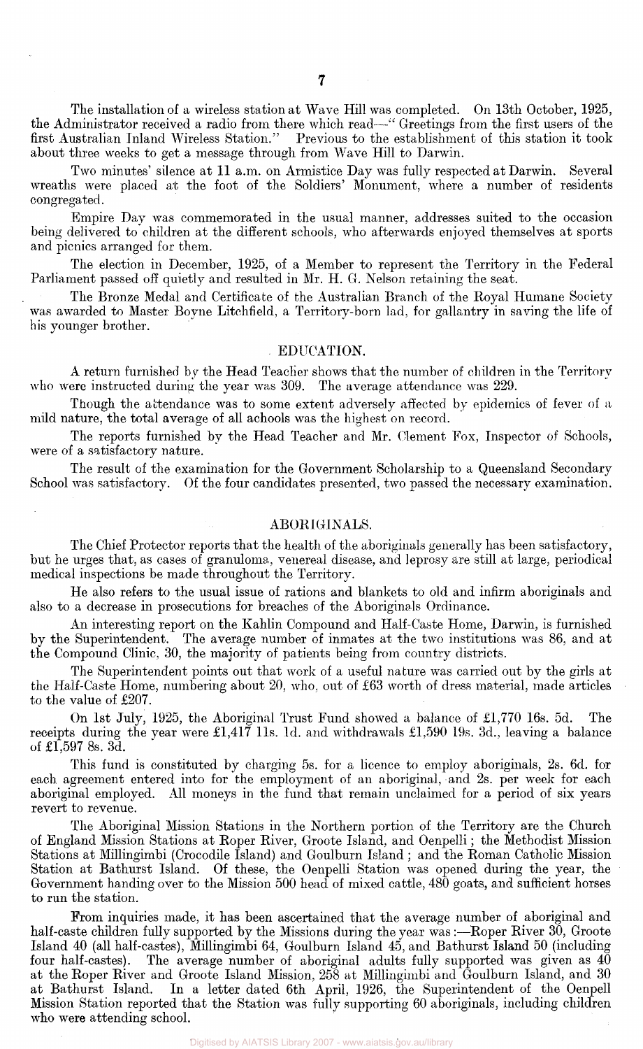The installation of a wireless station at Wave Hill was completed. On 13th October, 1925, the Administrator received a radio from there which read—" Greetings from the first users of the first Australian Inland Wireless Station." Previous to the establishment of this station it took about three weeks to get a message through from Wave Hill to Darwin.

Two minutes' silence at 11 a.m. on Armistice Day was fully respected at Darwin. Several wreaths were placed at the foot of the Soldiers' Monument, where a number of residents congregated.

Empire Day was commemorated in the usual manner, addresses suited to the occasion being delivered to children at the different schools, who afterwards enjoyed themselves at sports and picnics arranged for them.

The election in December, 1925, of a Member to represent the Territory in the Federal Parliament passed off quietly and resulted in Mr. H. G. Nelson retaining the seat.

The Bronze Medal and Certificate of the Australian Branch of the Royal Humane Society was awarded to Master Boyne Litchfield, a Territory-born lad, for gallantry in saving the life of his younger brother.

#### EDUCATION.

A return furnished by the Head Teacher shows that the number of children in the Territory who were instructed during the year was 309. The average attendance was 229.

Though the attendance was to some extent adversely affected by epidemics of fever of a mild nature, the total average of all achools was the highest on record.

The reports furnished by the Head Teacher and Mr. Clement Fox, Inspector of Schools, were of a satisfactory nature.

The result of the examination for the Government Scholarship to a Queensland Secondary School was satisfactory. Of the four candidates presented, two passed the necessary examination.

#### ABORIGINALS.

The Chief Protector reports that the health of the aboriginals generally has been satisfactory, but he urges that, as cases of granuloma, venereal disease, and leprosy are still at large, periodical medical inspections be made throughout the Territory.

He also refers to the usual issue of rations and blankets to old and infirm aboriginals and also to a decrease in prosecutions for breaches of the Aboriginals Ordinance.

An interesting report on the Kahlin Compound and Half-Caste Home, Darwin, is furnished by the Superintendent. The average number of inmates at the two institutions was 86, and at the Compound Clinic, 30, the majority of patients being from country districts.

The Superintendent points out that work of a useful nature was carried out by the girls at the Half-Caste Home, numbering about 20, who, out of £63 worth of dress material, made articles to the value of £207.

On 1st July, 1925, the Aboriginal Trust Fund showed a balance of £1,770 16s. 5d. The receipts during the year were  $\pounds1,41\bar{7}$  11s. 1d. and withdrawals  $\pounds1,590$  19s. 3d., leaving a balance of £1,597 8s. 3d.

This fund is constituted by charging 5s. for a licence to employ aboriginals, 2s. 6d. for each agreement entered into for the employment of an aboriginal, and 2s. per week for each aboriginal employed. All moneys in the fund that remain unclaimed for a period of six years revert to revenue.

The Aboriginal Mission Stations in the Northern portion of the Territory are the Church of England Mission Stations at Roper River, Groote Island, and Oenpelli; the Methodist Mission Stations at Millingimbi (Crocodile Island) and Goulburn Island ; and the Roman Catholic Mission Station at Bathurst Island. Of these, the Oenpelli Station was opened during the year, the Government handing over to the Mission 500 head of mixed cattle, 480 goats, and sufficient horses to run the station.

From inquiries made, it has been ascertained that the average number of aboriginal and half-caste children fully supported by the Missions during the year was:—Roper River 30, Groote Island 40 (all half-castes), Millingimbi 64, Goulburn Island 45, and Bathurst Island 50 (including The average number of aboriginal adults fully supported was given as  $40$ at the Roper River and Groote Island Mission, 258 at Millingimbi and Goulburn Island, and 30 at Bathurst Island. In a letter dated 6th April, 1926, the Superintendent of the Oenpell In a letter dated 6th April, 1926, the Superintendent of the Oenpell Mission Station reported that the Station was fully supporting 60 aboriginals, including children who were attending school.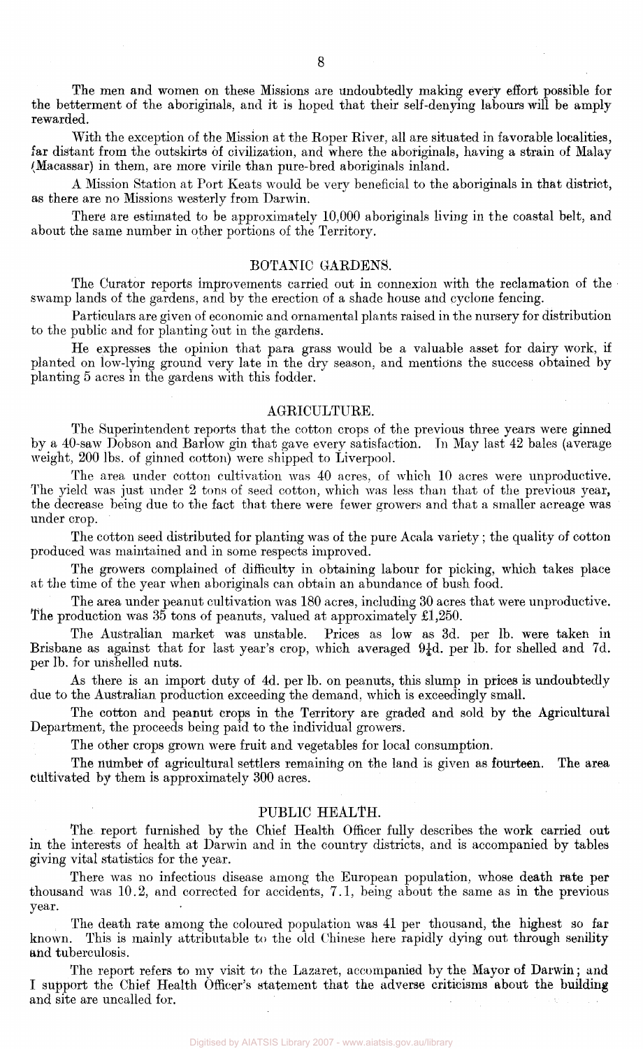The men and women on these Missions are undoubtedly making every effort possible for the betterment of the aboriginals, and it is hoped that their self-denying labours will be amply rewarded.

With the exception of the Mission at the Roper River, all are situated in favorable localities, far distant from the outskirts of civilization, and where the aboriginals, having a strain of Malay (Macassar) in them, are more virile than pure-bred aboriginals inland.

A Mission Station at Port Keats would be very beneficial to the aboriginals in that district, as there are no Missions westerly from Darwin.

There are estimated to be approximately 10,000 aboriginals living in the coastal belt, and about the same number in other portions of the Territory.

### BOTANIC GARDENS.

The Curator reports improvements carried out in connexion with the reclamation of the swamp lands of the gardens, and by the erection of a shade house and cyclone fencing.

Particulars are given of economic and ornamental plants raised in the nursery for distribution to the public and for planting but in the gardens.

He expresses the opinion that para grass would be a valuable asset for dairy work, if planted on low-lying ground very late in the dry season, and mentions the success obtained by planting 5 acres in the gardens with this fodder.

#### AGRICULTURE.

The Superintendent reports that the cotton crops of the previous three years were ginned by a 40-saw Dobson and Barlow gin that gave every satisfaction. In May last 42 bales (average weight, 200 lbs. of ginned cotton) were shipped to Liverpool.

The area under cotton cultivation was 40 acres, of which 10 acres were unproductive. The yield was just under 2 tons of seed cotton, which was less than that of the previous year, the decrease being due to the fact that there were fewer growers and that a smaller acreage was under crop.

The cotton seed distributed for planting was of the pure Acala variety; the quality of cotton produced was maintained and in some respects improved.

The growers complained of difficulty in obtaining labour for picking, which takes place at the time of the year when aboriginals can obtain an abundance of bush food.

The area under peanut cultivation was 180 acres, including 30 acres that were unproductive. The production was 35 tons of peanuts, valued at approximately £1,250.

The Australian market was unstable. Prices as low as 3d. per lb. were taken in Brisbane as against that for last year's crop, which averaged  $9\frac{1}{4}d$ . per lb. for shelled and 7d. per lb. for unshelled nuts.

As there is an import duty of 4d. per lb. on peanuts, this slump in prices is undoubtedly due to the Australian production exceeding the demand, which is exceedingly small.

The cotton and peanut crops in the Territory are graded and sold by the Agricultural Department, the proceeds being paid to the individual growers.

The other crops grown were fruit and vegetables for local consumption.

The number of agricultural settlers remaining on the land is given as fourteen. The area cultivated by them is approximately 300 acres.

#### PUBLIC HEALTH.

The report furnished by the Chief Health Officer fully describes the work carried out in the interests of health at Darwin and in the country districts, and is accompanied by tables giving vital statistics for the year.

There was no infectious disease among the European population, whose death rate per thousand was 10.2, and corrected for accidents, 7.1, being about the same as in the previous year.

The death rate among the coloured population was 41 per thousand, the highest so far known. This is mainly attributable to the old Chinese here rapidly dying out through senility and tuberculosis.

The report refers to my visit to the Lazaret, accompanied by the Mayor of Darwin; and I support the Chief Health Officer's statement that the adverse criticisms about the building and site are uncalled for.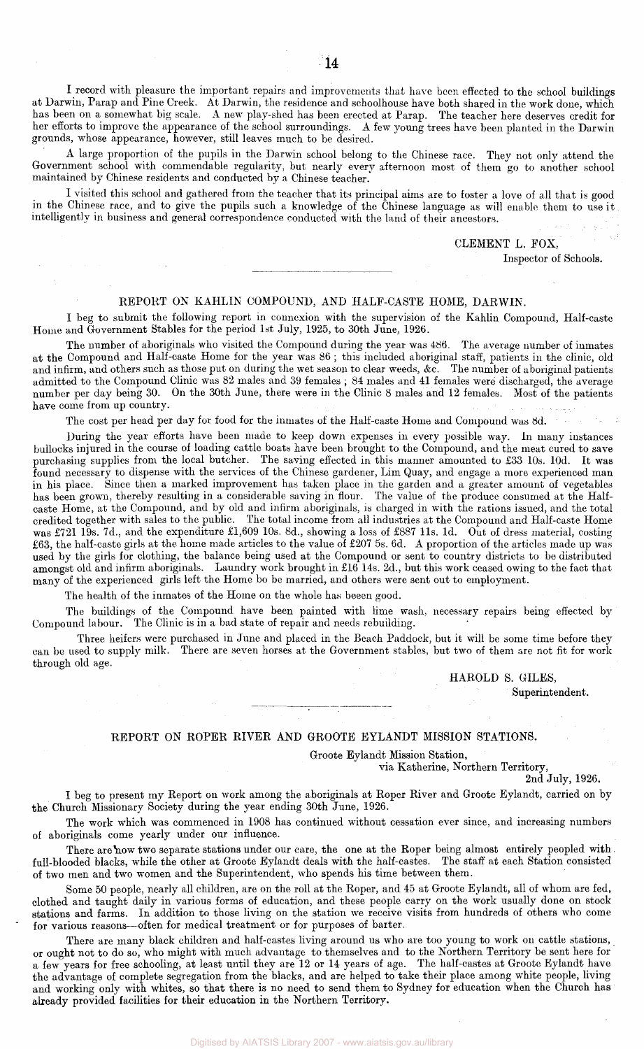I record with pleasure the important repairs and improvements that have been effected to the school buildings at Darwin, Parap and Pine Creek. At Darwin, the residence and schoolhouse have both shared in the work done, which has been on a somewhat big scale. A new play-shed has been erected at Parap. The teacher here deserves credit for her efforts to improve the appearance of the school surroundings. A few young trees have been planted in the Darwin grounds, whose appearance, however, still leaves much to be desired.

A large proportion of the pupils in the Darwin school belong to the Chinese race. They not only attend the Government school with commendable regularity, but nearly every afternoon most of them go to another school maintained by Chinese residents and conducted by a Chinese teacher.

I visited this school and gathered from the teacher that its principal aims are to foster a love of all that is good in the Chinese race, and to give the pupils such a knowledge of the Chinese language as will enable them to use it intelligently in business and general correspondence conducted with the land of their ancestors.

CLEMENT L. FOX,

Inspector of Schools.

#### REPORT ON KAHLIN COMPOUND, AND HALF-CASTE HOME, DARWIN.

I beg to submit the following report in connexion with the supervision of the Kahlin Compound, Half-caste Home and Government Stables for the period 1st July, 1925, to 30th June, 1926.

The number of aboriginals who visited the Compound during the year was 486. The average number of inmates at the Compound and Half-caste Home for the year was 86 ; this included aboriginal staff, patients in the clinic, old and infirm, and others such as those put on during the wet season to clear weeds, &c. The number of aboriginal patients admitted to the Compound Clinic was 82 males and 39 females ; 84 males and 41 females were discharged, the average number per day being 30. On the 30th June, there were in the Clinic 8 males and 12 females. Most of the patients have come from up country.

The cost per head per day for food for the inmates of the Half-caste Home and Compound was 8d. '

During the year efforts have been made to keep down expenses in every possible way. In many instances bullocks injured in the course of loading cattle boats have been brought to the Compound, and the meat cured to save purchasing supplies from the local butcher. The saving effected in this manner amounted to £33 10s. 10d. It was found necessary to dispense with the services of the Chinese gardener, Lim Quay, and engage a more experienced man in his place. Since then a marked improvement has taken place in the garden and a greater amount of vegetables has been grown, thereby resulting in a considerable saving in flour. The value of the produce consumed at the Halfcaste Home, at the Compound, and by old and infirm aboriginals, is charged in with the rations issued, and the total credited together with sales to the public. The total income from all industries at the Compound and Half-caste Home was £721 19s. 7d., and the expenditure £1,609 10s. 8d., showing a loss of £887 11s. 1d. Out of dress material, costing £63, the half-caste girls at the home made articles to the value of £207 5s. 6d. A proportion of the articles made up was used by the girls for clothing, the balance being used at the Compound or sent to country districts to be distributed amongst old and infirm aboriginals. Laundry work brought in £16 14s. 2d., but this work ceased owing to the fact that many of the experienced girls left the Home bo be married, and others were sent out to employment.

The health of the inmates of the Home on the whole has beeen good.

The buildings of the Compound have been painted with lime wash, necessary repairs being effected by Compound labour. The Clinic is in a bad state of repair and needs rebuilding.

Three heifers were purchased in June and placed in the Beach Paddock, but it will be some time before they can be used to supply milk. There are seven horses at the Government stables, but two of them are not fit for work through old age.

#### HAROLD S. GILES,

Superintendent.

#### REPORT ON ROPER RIVER AND GROOTE EYLANDT MISSION STATIONS.

Groote Eylandt Mission Station,

via Katherine, Northern Territory,

2nd July, 1926.

I beg to present my Report on work among the aboriginals at Roper River and Groote Eylandt, carried on by the Church Missionary Society during the year ending 30th June, 1926.

The work which was commenced in 1908 has continued without cessation ever since, and increasing numbers of aboriginals come yearly under our influence.

There are now two separate stations under our care, the one at the Roper being almost entirely peopled with. full-blooded blacks, while the other at Groote Eylandt deals with the half-castes. The staff at each Station consisted of two men and two women and the Superintendent, who spends his time between them.

Some 50 people, nearly all children, are on the roll at the Roper, and 45 at Groote Eylandt, all of whom are fed, clothed and taught daily in various forms of education, and these people carry on the work usually done on stock stations and farms. In addition to those living on the station we receive visits from hundreds of others who come for various reasons-often for medical treatment or for purposes of barter.

There are many black children and half-castes living around us who are too young to work on cattle stations, or ought not to do so, who might with much advantage to themselves and to the Northern Territory be sent here for a few years for free schooling, at least until they are 12 or 14 years of age. The half-castes at Groote Eylandt have the advantage of complete segregation from the blacks, and are helped to take their place among white people, living and working only with whites, so that there is no need to send them to Sydney for education when the Church has already provided facilities for their education in the Northern Territory.